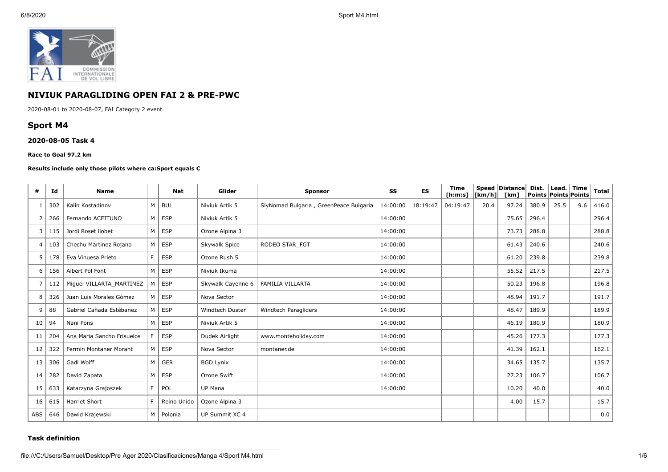

# **NIVIUK PARAGLIDING OPEN FAI 2 & PRE-PWC**

2020-08-01 to 2020-08-07, FAI Category 2 event

# **Sport M4**

## **2020-08-05 Task 4**

### **Race to Goal 97.2 km**

## **Results include only those pilots where ca:Sport equals C**

| #   | Id  | <b>Name</b>                |   | <b>Nat</b>  | Glider                 | <b>Sponsor</b>                         | SS       | ES       | <b>Time</b><br>[ <b>h</b> : <b>m</b> : <b>s</b> ] | [Km/h] | Speed Distance<br>[km] | Dist.<br><b>Points Points Points</b> | Lead. | Time | <b>Total</b> |
|-----|-----|----------------------------|---|-------------|------------------------|----------------------------------------|----------|----------|---------------------------------------------------|--------|------------------------|--------------------------------------|-------|------|--------------|
|     | 302 | Kalin Kostadinov           | M | BUL         | Niviuk Artik 5         | SlyNomad Bulgaria, GreenPeace Bulgaria | 14:00:00 | 18:19:47 | 04:19:47                                          | 20.4   | 97.24                  | 380.9                                | 25.5  | 9.6  | 416.0        |
| 2   | 266 | Fernando ACEITUNO          | M | <b>ESP</b>  | Niviuk Artik 5         |                                        | 14:00:00 |          |                                                   |        | 75.65                  | 296.4                                |       |      | 296.4        |
| 3   | 115 | Jordi Roset Ilobet         | M | <b>ESP</b>  | Ozone Alpina 3         |                                        | 14:00:00 |          |                                                   |        | 73.73                  | 288.8                                |       |      | 288.8        |
| 4   | 103 | Chechu Martinez Rojano     | M | <b>ESP</b>  | Skywalk Spice          | RODEO STAR FGT                         | 14:00:00 |          |                                                   |        | 61.43                  | 240.6                                |       |      | 240.6        |
| 5   | 178 | Eva Vinuesa Prieto         | F | <b>ESP</b>  | Ozone Rush 5           |                                        | 14:00:00 |          |                                                   |        | 61.20                  | 239.8                                |       |      | 239.8        |
| 6   | 156 | Albert Pol Font            | M | <b>ESP</b>  | Niviuk Ikuma           |                                        | 14:00:00 |          |                                                   |        | 55.52                  | 217.5                                |       |      | 217.5        |
| 7   | 112 | Miguel VILLARTA_MARTINEZ   | M | <b>ESP</b>  | Skywalk Cayenne 6      | <b>FAMILIA VILLARTA</b>                | 14:00:00 |          |                                                   |        | 50.23                  | 196.8                                |       |      | 196.8        |
| 8   | 326 | Juan Luis Morales Gómez    | M | <b>ESP</b>  | Nova Sector            |                                        | 14:00:00 |          |                                                   |        | 48.94                  | 191.7                                |       |      | 191.7        |
| 9   | 88  | Gabriel Cañada Estébanez   | М | <b>ESP</b>  | <b>Windtech Duster</b> | Windtech Paragliders                   | 14:00:00 |          |                                                   |        | 48.47                  | 189.9                                |       |      | 189.9        |
| 10  | 94  | Nani Pons                  | M | <b>ESP</b>  | Niviuk Artik 5         |                                        | 14:00:00 |          |                                                   |        | 46.19                  | 180.9                                |       |      | 180.9        |
| 11  | 204 | Ana Maria Sancho Frisuelos |   | <b>ESP</b>  | Dudek Airlight         | www.monteholiday.com                   | 14:00:00 |          |                                                   |        | 45.26                  | 177.3                                |       |      | 177.3        |
| 12  | 322 | Fermin Montaner Morant     | M | <b>ESP</b>  | Nova Sector            | montaner.de                            | 14:00:00 |          |                                                   |        | 41.39                  | 162.1                                |       |      | 162.1        |
| 13  | 306 | Gadi Wolff                 | M | GER         | <b>BGD Lynix</b>       |                                        | 14:00:00 |          |                                                   |        | 34.65                  | 135.7                                |       |      | 135.7        |
| 14  | 282 | David Zapata               | M | <b>ESP</b>  | Ozone Swift            |                                        | 14:00:00 |          |                                                   |        | 27.23                  | 106.7                                |       |      | 106.7        |
| 15  | 633 | Katarzyna Grajoszek        | E | POL         | UP Mana                |                                        | 14:00:00 |          |                                                   |        | 10.20                  | 40.0                                 |       |      | 40.0         |
| 16  | 615 | <b>Harriet Short</b>       | E | Reino Unido | Ozone Alpina 3         |                                        |          |          |                                                   |        | 4.00                   | 15.7                                 |       |      | 15.7         |
| ABS | 646 | Dawid Krajewski            | M | Polonia     | UP Summit XC 4         |                                        |          |          |                                                   |        |                        |                                      |       |      | 0.0          |

## **Task definition**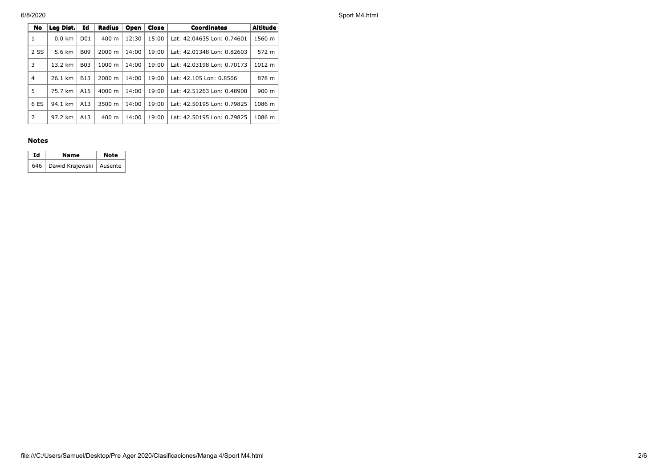6/8/2020 Sport M4.html

| No   | Leg Dist.        | Id               | Radius             | Open  | Close | <b>Coordinates</b>         | <b>Altitude</b> |
|------|------------------|------------------|--------------------|-------|-------|----------------------------|-----------------|
| 1    | $0.0 \text{ km}$ | D <sub>0</sub> 1 | $400 \text{ m}$    | 12:30 | 15:00 | Lat: 42.04635 Lon: 0.74601 | 1560 m          |
| 2 SS | 5.6 km           | <b>B09</b>       | $2000 \; \text{m}$ | 14:00 | 19:00 | Lat: 42.01348 Lon: 0.82603 | 572 m           |
| 3    | 13.2 km          | <b>B03</b>       | 1000 m             | 14:00 | 19:00 | Lat: 42.03198 Lon: 0.70173 | 1012 m          |
| 4    | 26.1 km          | <b>B13</b>       | 2000 m             | 14:00 | 19:00 | Lat: 42.105 Lon: 0.8566    | 878 m           |
| 5    | 75.7 km          | A15              | $4000 \; \text{m}$ | 14:00 | 19:00 | Lat: 42.51263 Lon: 0.48908 | 900 m           |
| 6 ES | 94.1 km          | A13              | 3500 m             | 14:00 | 19:00 | Lat: 42.50195 Lon: 0.79825 | 1086 m          |
| 7    | 97.2 km          | A13              | 400 m              | 14:00 | 19:00 | Lat: 42.50195 Lon: 0.79825 | 1086 m          |

## **Notes**

| Ιd | Name                            | <b>Note</b> |  |  |
|----|---------------------------------|-------------|--|--|
|    | 646   Dawid Krajewski   Ausente |             |  |  |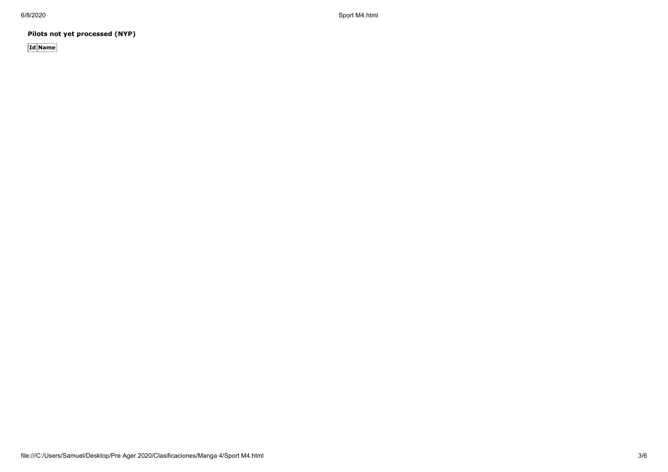6/8/2020 Sport M4.html

**Pilots not yet processed (NYP)**

**Id Name**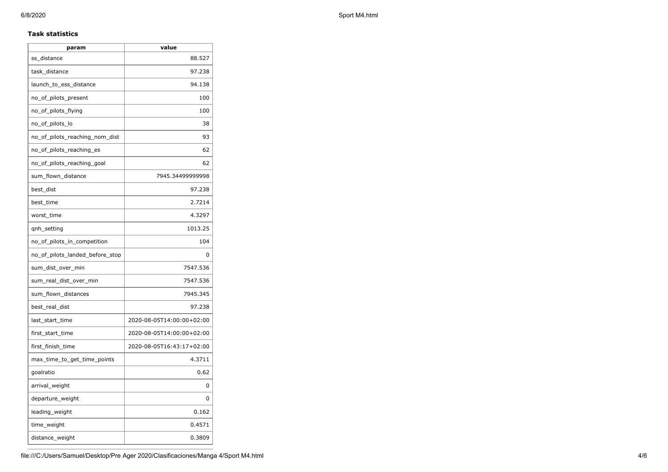# **Task statistics**

| param                           | value                     |
|---------------------------------|---------------------------|
| ss_distance                     | 88.527                    |
| task_distance                   | 97.238                    |
| launch_to_ess_distance          | 94.138                    |
| no_of_pilots_present            | 100                       |
| no_of_pilots_flying             | 100                       |
| no_of_pilots_lo                 | 38                        |
| no_of_pilots_reaching_nom_dist  | 93                        |
| no_of_pilots_reaching_es        | 62                        |
| no of pilots reaching goal      | 62                        |
| sum_flown_distance              | 7945.34499999998          |
| best_dist                       | 97.238                    |
| best_time                       | 2.7214                    |
| worst_time                      | 4.3297                    |
| qnh_setting                     | 1013.25                   |
| no_of_pilots_in_competition     | 104                       |
| no_of_pilots_landed_before_stop | 0                         |
| sum_dist_over_min               | 7547.536                  |
| sum_real_dist_over_min          | 7547.536                  |
| sum_flown_distances             | 7945.345                  |
| best_real_dist                  | 97.238                    |
| last_start_time                 | 2020-08-05T14:00:00+02:00 |
| first_start_time                | 2020-08-05T14:00:00+02:00 |
| first_finish_time               | 2020-08-05T16:43:17+02:00 |
| max_time_to_get_time_points     | 4.3711                    |
| goalratio                       | 0.62                      |
| arrival_weight                  | 0                         |
| departure_weight                | 0                         |
| leading_weight                  | 0.162                     |
| time_weight                     | 0.4571                    |
| distance_weight                 | 0.3809                    |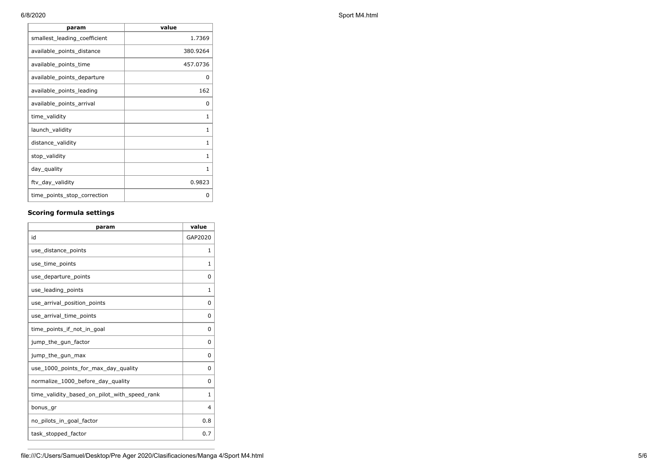| param                        | value        |
|------------------------------|--------------|
| smallest_leading_coefficient | 1.7369       |
| available_points_distance    | 380.9264     |
| available_points_time        | 457.0736     |
| available_points_departure   | 0            |
| available_points_leading     | 162          |
| available_points_arrival     | 0            |
| time_validity                | 1            |
| launch_validity              | 1            |
| distance_validity            | 1            |
| stop_validity                | 1            |
| day_quality                  | $\mathbf{1}$ |
| ftv_day_validity             | 0.9823       |
| time_points_stop_correction  | 0            |

# **Scoring formula settings**

| param                                        | value        |
|----------------------------------------------|--------------|
| id                                           | GAP2020      |
| use_distance_points                          | 1            |
| use_time_points                              | 1            |
| use_departure_points                         | 0            |
| use leading points                           | 1            |
| use_arrival_position_points                  | 0            |
| use_arrival_time_points                      | 0            |
| time points if not in goal                   | $\Omega$     |
| jump_the_gun_factor                          | $\Omega$     |
| jump_the_gun_max                             | 0            |
| use_1000_points_for_max_day_quality          | $\Omega$     |
| normalize_1000_before_day_quality            | 0            |
| time_validity_based_on_pilot_with_speed_rank | $\mathbf{1}$ |
| bonus_gr                                     | 4            |
| no_pilots_in_goal_factor                     | 0.8          |
| task_stopped_factor                          | 0.7          |

6/8/2020 Sport M4.html